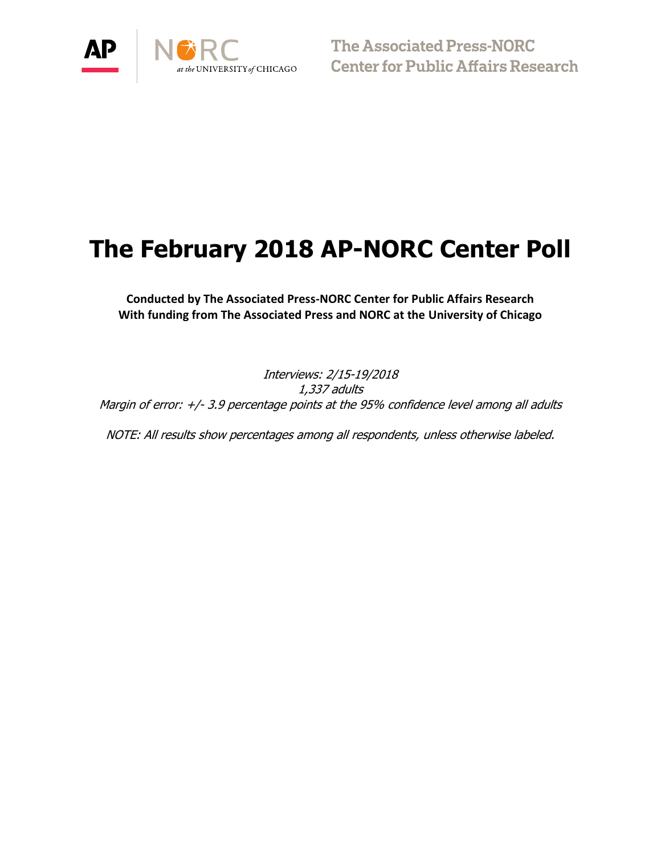

 $\bigcirc$   $\bigcirc$   $\bigcirc$   $\bigcirc$   $\bigcirc$  The Associated Press-NORC<br>  $\bigcirc$   $\bigcirc$   $\bigcirc$   $\bigcirc$   $\bigcirc$   $\bigcirc$   $\bigcirc$   $\bigcirc$   $\bigcirc$   $\bigcirc$   $\bigcirc$   $\bigcirc$   $\bigcirc$   $\bigcirc$   $\bigcirc$   $\bigcirc$   $\bigcirc$   $\bigcirc$   $\bigcirc$   $\bigcirc$   $\bigcirc$   $\bigcirc$   $\bigcirc$   $\bigcirc$   $\bigcirc$   $\bigcirc$   $\bigcirc$   $\$ 

# **The February 2018 AP-NORC Center Poll**

**Conducted by The Associated Press-NORC Center for Public Affairs Research With funding from The Associated Press and NORC at the University of Chicago**

Interviews: 2/15-19/2018 1,337 adults Margin of error: +/- 3.9 percentage points at the 95% confidence level among all adults

NOTE: All results show percentages among all respondents, unless otherwise labeled.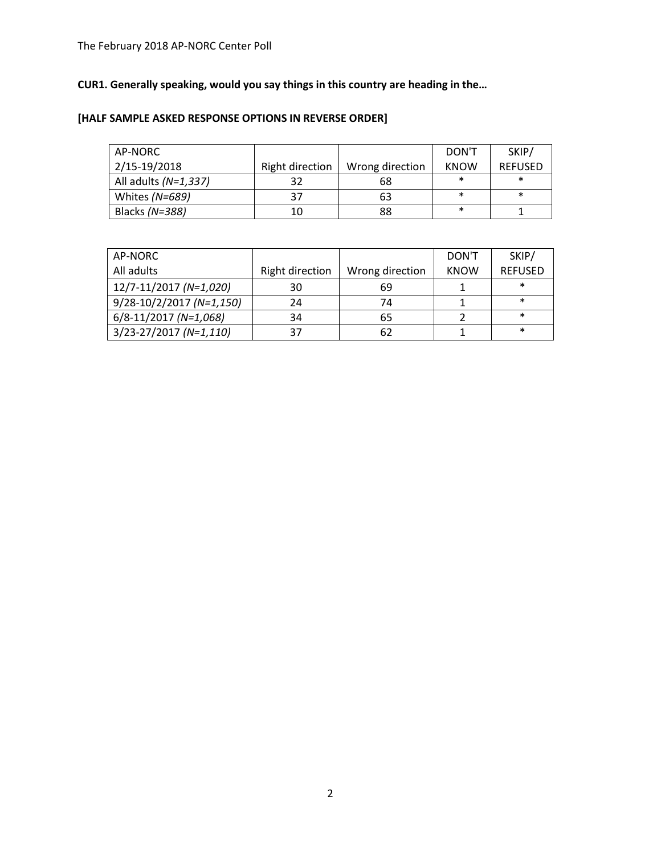# **CUR1. Generally speaking, would you say things in this country are heading in the…**

# **[HALF SAMPLE ASKED RESPONSE OPTIONS IN REVERSE ORDER]**

| AP-NORC              |                 |                 | DON'T       | SKIP/          |
|----------------------|-----------------|-----------------|-------------|----------------|
| 2/15-19/2018         | Right direction | Wrong direction | <b>KNOW</b> | <b>REFUSED</b> |
| All adults (N=1,337) | 32              | 68              | $\ast$      | $\ast$         |
| Whites (N=689)       | 37              | 63              | $\ast$      | $\ast$         |
| Blacks (N=388)       | 10              | 88              | $\ast$      |                |

| AP-NORC                  |                 |                 | DON'T       | SKIP/          |
|--------------------------|-----------------|-----------------|-------------|----------------|
| All adults               | Right direction | Wrong direction | <b>KNOW</b> | <b>REFUSED</b> |
| 12/7-11/2017 (N=1,020)   | 30              | 69              |             | $\ast$         |
| 9/28-10/2/2017 (N=1,150) | 24              | 74              |             | $\ast$         |
| 6/8-11/2017 (N=1,068)    | 34              | 65              |             | $\ast$         |
| 3/23-27/2017 (N=1,110)   | 37              | 62              |             | $\ast$         |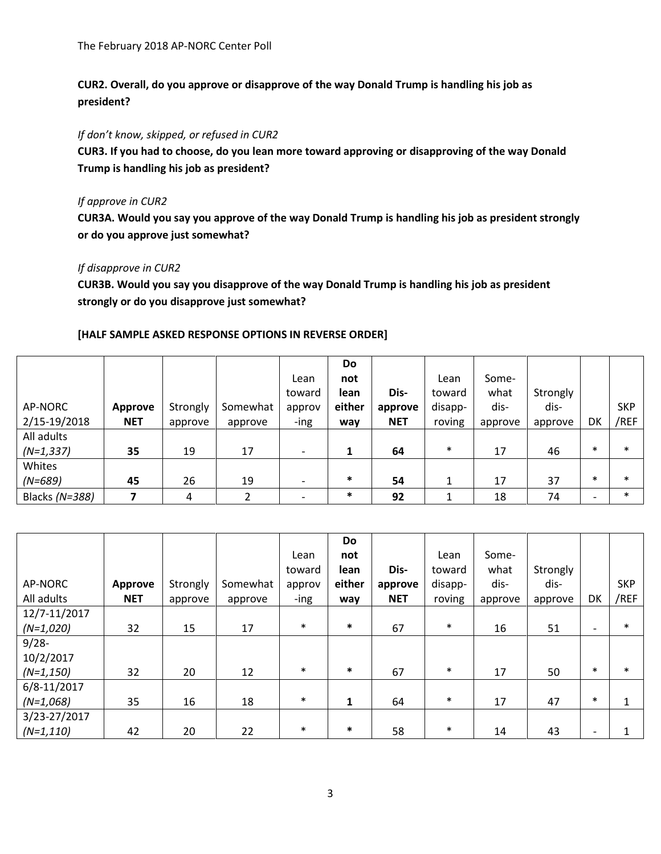**CUR2. Overall, do you approve or disapprove of the way Donald Trump is handling his job as president?**

*If don't know, skipped, or refused in CUR2*

**CUR3. If you had to choose, do you lean more toward approving or disapproving of the way Donald Trump is handling his job as president?**

## *If approve in CUR2*

**CUR3A. Would you say you approve of the way Donald Trump is handling his job as president strongly or do you approve just somewhat?**

## *If disapprove in CUR2*

**CUR3B. Would you say you disapprove of the way Donald Trump is handling his job as president strongly or do you disapprove just somewhat?**

|                |            |          |          |        | Do          |            |         |         |          |        |            |
|----------------|------------|----------|----------|--------|-------------|------------|---------|---------|----------|--------|------------|
|                |            |          |          | Lean   | not         |            | Lean    | Some-   |          |        |            |
|                |            |          |          | toward | <b>lean</b> | Dis-       | toward  | what    | Strongly |        |            |
| AP-NORC        | Approve    | Strongly | Somewhat | approv | either      | approve    | disapp- | dis-    | dis-     |        | <b>SKP</b> |
| 2/15-19/2018   | <b>NET</b> | approve  | approve  | -ing   | way         | <b>NET</b> | roving  | approve | approve  | DK     | /REF       |
| All adults     |            |          |          |        |             |            |         |         |          |        |            |
| $(N=1,337)$    | 35         | 19       | 17       |        |             | 64         | $\ast$  | 17      | 46       | $\ast$ | $\ast$     |
| Whites         |            |          |          |        |             |            |         |         |          |        |            |
| $(N=689)$      | 45         | 26       | 19       |        | $\ast$      | 54         |         | 17      | 37       | $\ast$ | $\ast$     |
| Blacks (N=388) |            | 4        |          |        | $\ast$      | 92         |         | 18      | 74       |        | $\ast$     |

## **[HALF SAMPLE ASKED RESPONSE OPTIONS IN REVERSE ORDER]**

|              |            |          |          |        | Do     |            |         |         |          |                          |            |
|--------------|------------|----------|----------|--------|--------|------------|---------|---------|----------|--------------------------|------------|
|              |            |          |          | Lean   | not    |            | Lean    | Some-   |          |                          |            |
|              |            |          |          | toward | lean   | Dis-       | toward  | what    | Strongly |                          |            |
| AP-NORC      | Approve    | Strongly | Somewhat | approv | either | approve    | disapp- | dis-    | dis-     |                          | <b>SKP</b> |
| All adults   | <b>NET</b> | approve  | approve  | -ing   | way    | <b>NET</b> | roving  | approve | approve  | DK                       | /REF       |
| 12/7-11/2017 |            |          |          |        |        |            |         |         |          |                          |            |
| $(N=1,020)$  | 32         | 15       | 17       | $\ast$ | $\ast$ | 67         | $\ast$  | 16      | 51       | $\overline{\phantom{a}}$ | $\ast$     |
| $9/28 -$     |            |          |          |        |        |            |         |         |          |                          |            |
| 10/2/2017    |            |          |          |        |        |            |         |         |          |                          |            |
| $(N=1, 150)$ | 32         | 20       | 12       | $\ast$ | $\ast$ | 67         | $\ast$  | 17      | 50       | $\ast$                   | $\ast$     |
| 6/8-11/2017  |            |          |          |        |        |            |         |         |          |                          |            |
| $(N=1,068)$  | 35         | 16       | 18       | $\ast$ | 1      | 64         | $\ast$  | 17      | 47       | $\ast$                   |            |
| 3/23-27/2017 |            |          |          |        |        |            |         |         |          |                          |            |
| $(N=1,110)$  | 42         | 20       | 22       | $\ast$ | $\ast$ | 58         | $\ast$  | 14      | 43       |                          |            |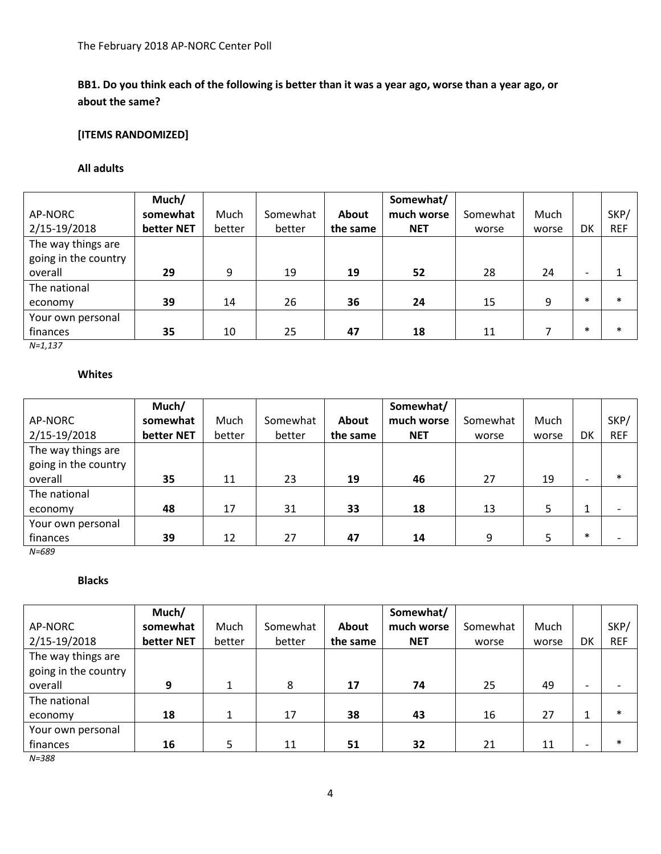# **BB1. Do you think each of the following is better than it was a year ago, worse than a year ago, or about the same?**

# **[ITEMS RANDOMIZED]**

#### **All adults**

|                      | Much/      |        |          |          | Somewhat/  |          |       |                          |            |
|----------------------|------------|--------|----------|----------|------------|----------|-------|--------------------------|------------|
| AP-NORC              | somewhat   | Much   | Somewhat | About    | much worse | Somewhat | Much  |                          | SKP/       |
| 2/15-19/2018         | better NET | better | better   | the same | <b>NET</b> | worse    | worse | DK                       | <b>REF</b> |
| The way things are   |            |        |          |          |            |          |       |                          |            |
| going in the country |            |        |          |          |            |          |       |                          |            |
| overall              | 29         | 9      | 19       | 19       | 52         | 28       | 24    | $\overline{\phantom{0}}$ |            |
| The national         |            |        |          |          |            |          |       |                          |            |
| economy              | 39         | 14     | 26       | 36       | 24         | 15       | q     | $\ast$                   | $\ast$     |
| Your own personal    |            |        |          |          |            |          |       |                          |            |
| finances             | 35         | 10     | 25       | 47       | 18         | 11       |       | $\ast$                   | $\ast$     |

*N=1,137*

## **Whites**

|                      | Much/      |        |          |          | Somewhat/  |          |       |                          |            |
|----------------------|------------|--------|----------|----------|------------|----------|-------|--------------------------|------------|
| AP-NORC              | somewhat   | Much   | Somewhat | About    | much worse | Somewhat | Much  |                          | SKP/       |
| 2/15-19/2018         | better NET | better | better   | the same | <b>NET</b> | worse    | worse | DK                       | <b>REF</b> |
| The way things are   |            |        |          |          |            |          |       |                          |            |
| going in the country |            |        |          |          |            |          |       |                          |            |
| overall              | 35         | 11     | 23       | 19       | 46         | 27       | 19    | $\overline{\phantom{0}}$ | $\ast$     |
| The national         |            |        |          |          |            |          |       |                          |            |
| economy              | 48         | 17     | 31       | 33       | 18         | 13       | 5     | 1                        |            |
| Your own personal    |            |        |          |          |            |          |       |                          |            |
| finances             | 39         | 12     | 27       | 47       | 14         | 9        | 5     | $\ast$                   |            |

*N=689*

## **Blacks**

|                      | Much/      |        |          |          | Somewhat/  |          |       |                          |            |
|----------------------|------------|--------|----------|----------|------------|----------|-------|--------------------------|------------|
| AP-NORC              | somewhat   | Much   | Somewhat | About    | much worse | Somewhat | Much  |                          | SKP/       |
| 2/15-19/2018         | better NET | better | better   | the same | <b>NET</b> | worse    | worse | DK                       | <b>REF</b> |
| The way things are   |            |        |          |          |            |          |       |                          |            |
| going in the country |            |        |          |          |            |          |       |                          |            |
| overall              | 9          |        | 8        | 17       | 74         | 25       | 49    | -                        |            |
| The national         |            |        |          |          |            |          |       |                          |            |
| economy              | 18         | 1      | 17       | 38       | 43         | 16       | 27    |                          | $\ast$     |
| Your own personal    |            |        |          |          |            |          |       |                          |            |
| finances             | 16         |        | 11       | 51       | 32         | 21       | 11    | $\overline{\phantom{0}}$ | $\ast$     |

*N=388*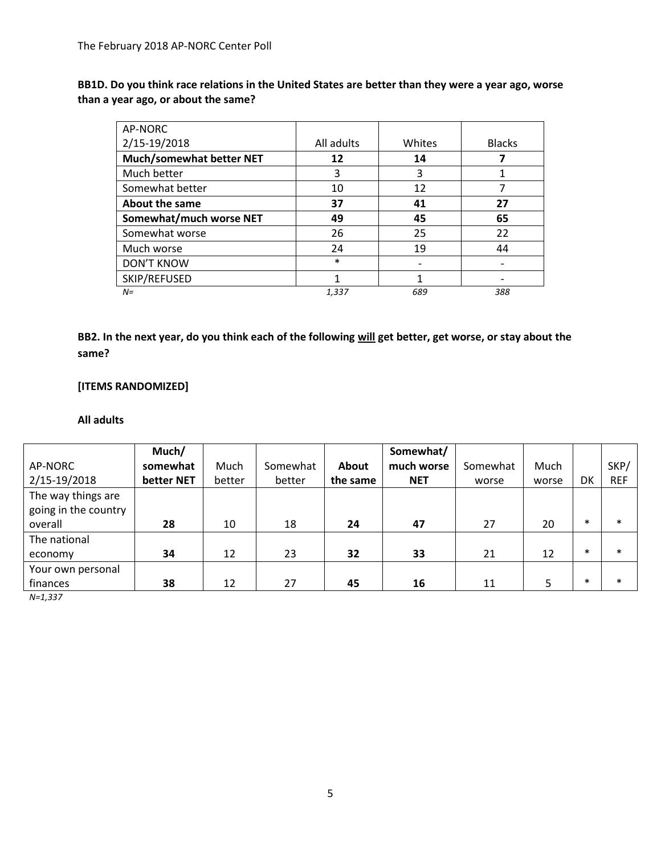**BB1D. Do you think race relations in the United States are better than they were a year ago, worse than a year ago, or about the same?** 

| AP-NORC                         |            |        |               |
|---------------------------------|------------|--------|---------------|
| 2/15-19/2018                    | All adults | Whites | <b>Blacks</b> |
| <b>Much/somewhat better NET</b> | 12         | 14     |               |
| Much better                     | 3          | 3      |               |
| Somewhat better                 | 10         | 12     |               |
| <b>About the same</b>           | 37         | 41     | 27            |
| Somewhat/much worse NET         | 49         | 45     | 65            |
| Somewhat worse                  | 26         | 25     | 22            |
| Much worse                      | 24         | 19     | 44            |
| <b>DON'T KNOW</b>               | $\ast$     |        |               |
| SKIP/REFUSED                    | 1          | 1      |               |
| $N =$                           | 1,337      | 689    | 388           |

**BB2. In the next year, do you think each of the following will get better, get worse, or stay about the same?** 

# **[ITEMS RANDOMIZED]**

#### **All adults**

|                      | Much/      |        |          |          | Somewhat/  |          |       |        |            |
|----------------------|------------|--------|----------|----------|------------|----------|-------|--------|------------|
| AP-NORC              | somewhat   | Much   | Somewhat | About    | much worse | Somewhat | Much  |        | SKP/       |
| 2/15-19/2018         | better NET | better | better   | the same | <b>NET</b> | worse    | worse | DK     | <b>REF</b> |
| The way things are   |            |        |          |          |            |          |       |        |            |
| going in the country |            |        |          |          |            |          |       |        |            |
| overall              | 28         | 10     | 18       | 24       | 47         | 27       | 20    | $\ast$ | $\ast$     |
| The national         |            |        |          |          |            |          |       |        |            |
| economy              | 34         | 12     | 23       | 32       | 33         | 21       | 12    | $\ast$ | $\ast$     |
| Your own personal    |            |        |          |          |            |          |       |        |            |
| finances             | 38         | 12     | 27       | 45       | 16         | 11       |       | $\ast$ | $\ast$     |

*N=1,337*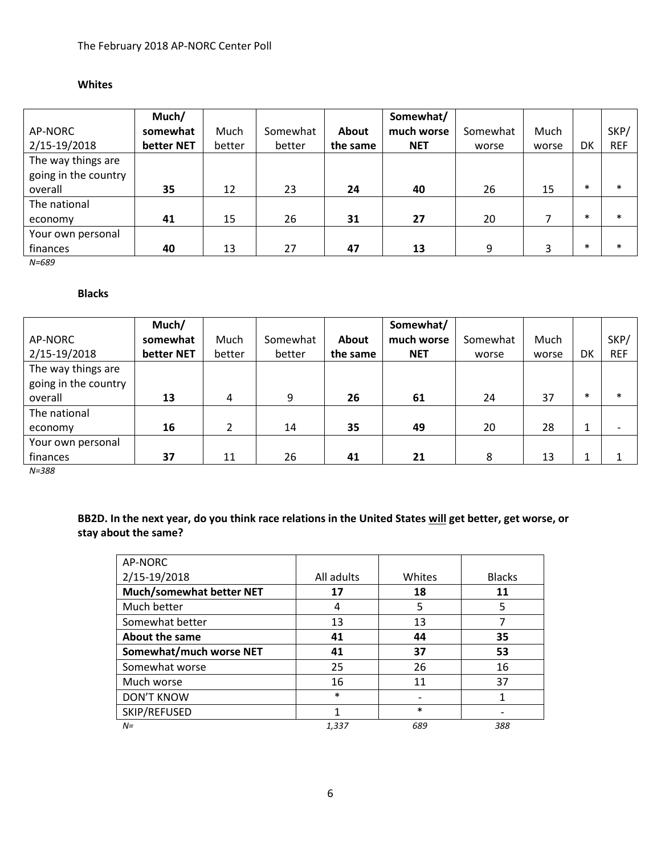## **Whites**

|                      | Much/      |        |          |          | Somewhat/  |          |       |        |            |
|----------------------|------------|--------|----------|----------|------------|----------|-------|--------|------------|
| AP-NORC              | somewhat   | Much   | Somewhat | About    | much worse | Somewhat | Much  |        | SKP/       |
| 2/15-19/2018         | better NET | better | better   | the same | <b>NET</b> | worse    | worse | DK     | <b>REF</b> |
| The way things are   |            |        |          |          |            |          |       |        |            |
| going in the country |            |        |          |          |            |          |       |        |            |
| overall              | 35         | 12     | 23       | 24       | 40         | 26       | 15    | $\ast$ | $\ast$     |
| The national         |            |        |          |          |            |          |       |        |            |
| economy              | 41         | 15     | 26       | 31       | 27         | 20       |       | $\ast$ | $\ast$     |
| Your own personal    |            |        |          |          |            |          |       |        |            |
| finances             | 40         | 13     | 27       | 47       | 13         | 9        | 3     | $\ast$ | $\ast$     |

*N=689*

#### **Blacks**

|                      | Much/      |        |          |          | Somewhat/  |          |       |        |            |
|----------------------|------------|--------|----------|----------|------------|----------|-------|--------|------------|
| AP-NORC              | somewhat   | Much   | Somewhat | About    | much worse | Somewhat | Much  |        | SKP/       |
| 2/15-19/2018         | better NET | better | better   | the same | <b>NET</b> | worse    | worse | DK     | <b>REF</b> |
| The way things are   |            |        |          |          |            |          |       |        |            |
| going in the country |            |        |          |          |            |          |       |        |            |
| overall              | 13         | 4      | 9        | 26       | 61         | 24       | 37    | $\ast$ | $\ast$     |
| The national         |            |        |          |          |            |          |       |        |            |
| economy              | 16         |        | 14       | 35       | 49         | 20       | 28    | 1      |            |
| Your own personal    |            |        |          |          |            |          |       |        |            |
| finances             | 37         | 11     | 26       | 41       | 21         | 8        | 13    | 1      |            |

*N=388*

# **BB2D. In the next year, do you think race relations in the United States will get better, get worse, or stay about the same?**

| AP-NORC                         |            |        |               |
|---------------------------------|------------|--------|---------------|
| 2/15-19/2018                    | All adults | Whites | <b>Blacks</b> |
| <b>Much/somewhat better NET</b> | 17         | 18     | 11            |
| Much better                     | 4          | 5      | 5             |
| Somewhat better                 | 13         | 13     |               |
| <b>About the same</b>           | 41         | 44     | 35            |
| Somewhat/much worse NET         | 41         | 37     | 53            |
| Somewhat worse                  | 25         | 26     | 16            |
| Much worse                      | 16         | 11     | 37            |
| <b>DON'T KNOW</b>               | $\ast$     |        |               |
| SKIP/REFUSED                    | 1          | $\ast$ |               |
| $N =$                           | 1,337      | 689    | 388           |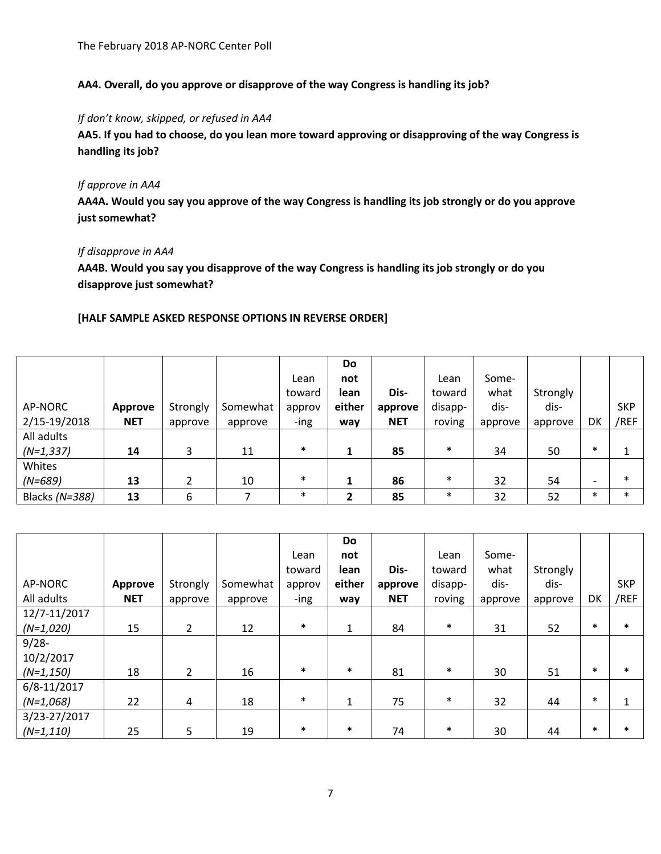**AA4. Overall, do you approve or disapprove of the way Congress is handling its job?**

## *If don't know, skipped, or refused in AA4*

**AA5. If you had to choose, do you lean more toward approving or disapproving of the way Congress is handling its job?**

# *If approve in AA4*

**AA4A. Would you say you approve of the way Congress is handling its job strongly or do you approve just somewhat?**

## *If disapprove in AA4*

**AA4B. Would you say you disapprove of the way Congress is handling its job strongly or do you disapprove just somewhat?**

## **[HALF SAMPLE ASKED RESPONSE OPTIONS IN REVERSE ORDER]**

|                |            |          |          |        | <b>Do</b>    |            |         |         |          |        |            |
|----------------|------------|----------|----------|--------|--------------|------------|---------|---------|----------|--------|------------|
|                |            |          |          | Lean   | not          |            | Lean    | Some-   |          |        |            |
|                |            |          |          | toward | lean         | Dis-       | toward  | what    | Strongly |        |            |
| AP-NORC        | Approve    | Strongly | Somewhat | approv | either       | approve    | disapp- | dis-    | dis-     |        | <b>SKP</b> |
| 2/15-19/2018   | <b>NET</b> | approve  | approve  | -ing   | way          | <b>NET</b> | roving  | approve | approve  | DK     | /REF       |
| All adults     |            |          |          |        |              |            |         |         |          |        |            |
| $(N=1,337)$    | 14         | 3        | 11       | $\ast$ |              | 85         | $\ast$  | 34      | 50       | $\ast$ |            |
| Whites         |            |          |          |        |              |            |         |         |          |        |            |
| $(N=689)$      | 13         | 2        | 10       | $\ast$ |              | 86         | $\ast$  | 32      | 54       |        | $\ast$     |
| Blacks (N=388) | 13         | 6        |          | $\ast$ | $\mathbf{2}$ | 85         | $\ast$  | 32      | 52       | $\ast$ | $\ast$     |

|              |            |                |          |        | Do           |            |         |         |          |        |            |
|--------------|------------|----------------|----------|--------|--------------|------------|---------|---------|----------|--------|------------|
|              |            |                |          | Lean   | not          |            | Lean    | Some-   |          |        |            |
|              |            |                |          | toward | lean         | Dis-       | toward  | what    | Strongly |        |            |
| AP-NORC      | Approve    | Strongly       | Somewhat | approv | either       | approve    | disapp- | dis-    | dis-     |        | <b>SKP</b> |
| All adults   | <b>NET</b> | approve        | approve  | -ing   | way          | <b>NET</b> | roving  | approve | approve  | DK     | /REF       |
| 12/7-11/2017 |            |                |          |        |              |            |         |         |          |        |            |
| $(N=1,020)$  | 15         | $\overline{2}$ | 12       | $\ast$ | 1            | 84         | $\ast$  | 31      | 52       | $\ast$ | $\ast$     |
| $9/28 -$     |            |                |          |        |              |            |         |         |          |        |            |
| 10/2/2017    |            |                |          |        |              |            |         |         |          |        |            |
| $(N=1, 150)$ | 18         | 2              | 16       | $\ast$ | $\ast$       | 81         | $\ast$  | 30      | 51       | $\ast$ | $\ast$     |
| 6/8-11/2017  |            |                |          |        |              |            |         |         |          |        |            |
| $(N=1,068)$  | 22         | 4              | 18       | $\ast$ | $\mathbf{1}$ | 75         | $\ast$  | 32      | 44       | $\ast$ |            |
| 3/23-27/2017 |            |                |          |        |              |            |         |         |          |        |            |
| $(N=1,110)$  | 25         | $5\phantom{.}$ | 19       | $\ast$ | $\ast$       | 74         | $\ast$  | 30      | 44       | $\ast$ | $\ast$     |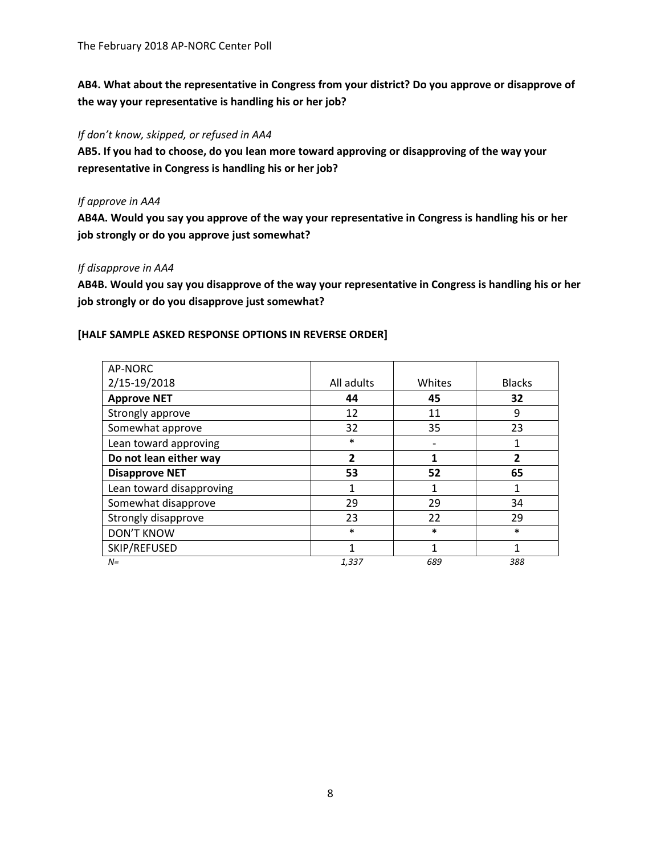**AB4. What about the representative in Congress from your district? Do you approve or disapprove of the way your representative is handling his or her job?**

#### *If don't know, skipped, or refused in AA4*

**AB5. If you had to choose, do you lean more toward approving or disapproving of the way your representative in Congress is handling his or her job?**

## *If approve in AA4*

**AB4A. Would you say you approve of the way your representative in Congress is handling his or her job strongly or do you approve just somewhat?**

## *If disapprove in AA4*

**AB4B. Would you say you disapprove of the way your representative in Congress is handling his or her job strongly or do you disapprove just somewhat?**

## **[HALF SAMPLE ASKED RESPONSE OPTIONS IN REVERSE ORDER]**

| AP-NORC                  |                |        |               |
|--------------------------|----------------|--------|---------------|
| 2/15-19/2018             | All adults     | Whites | <b>Blacks</b> |
| <b>Approve NET</b>       | 44             | 45     | 32            |
| Strongly approve         | 12             | 11     | 9             |
| Somewhat approve         | 32             | 35     | 23            |
| Lean toward approving    | $\ast$         |        |               |
| Do not lean either way   | $\overline{2}$ | 1      | 2             |
| <b>Disapprove NET</b>    | 53             | 52     | 65            |
| Lean toward disapproving | 1              | 1      | 1             |
| Somewhat disapprove      | 29             | 29     | 34            |
| Strongly disapprove      | 23             | 22     | 29            |
| <b>DON'T KNOW</b>        | $\ast$         | $\ast$ | $\ast$        |
| SKIP/REFUSED             | 1              | 1      | 1             |
| $N =$                    | 1,337          | 689    | 388           |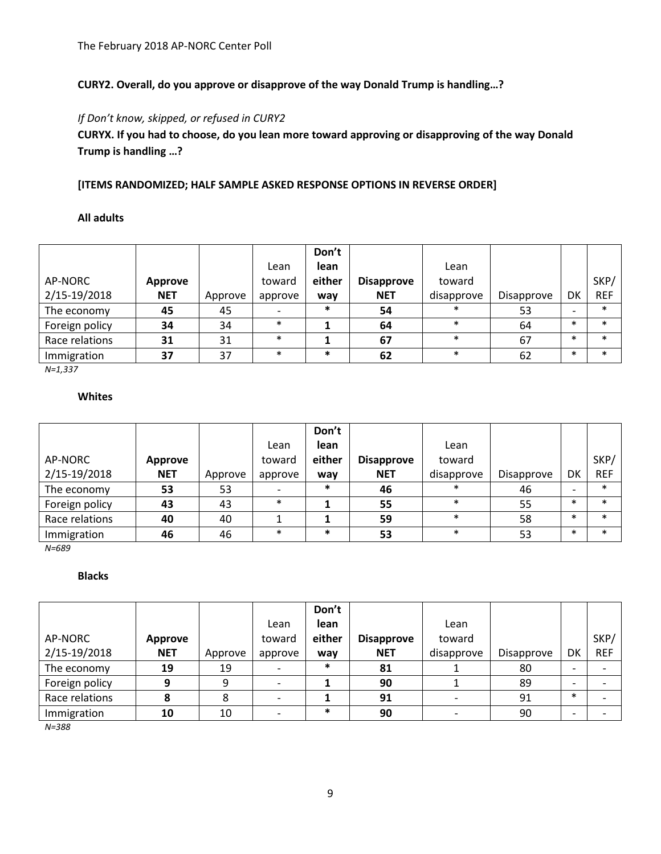## **CURY2. Overall, do you approve or disapprove of the way Donald Trump is handling…?**

## *If Don't know, skipped, or refused in CURY2*

**CURYX. If you had to choose, do you lean more toward approving or disapproving of the way Donald Trump is handling …?**

## **[ITEMS RANDOMIZED; HALF SAMPLE ASKED RESPONSE OPTIONS IN REVERSE ORDER]**

#### **All adults**

| AP-NORC<br>2/15-19/2018 | Approve<br><b>NET</b> | Approve | Lean<br>toward<br>approve | Don't<br>lean<br>either<br>way | <b>Disapprove</b><br><b>NET</b> | Lean<br>toward<br>disapprove | Disapprove | DK     | SKP/<br><b>REF</b> |
|-------------------------|-----------------------|---------|---------------------------|--------------------------------|---------------------------------|------------------------------|------------|--------|--------------------|
| The economy             | 45                    | 45      |                           | ∗                              | 54                              | *                            | 53         |        | $\ast$             |
| Foreign policy          | 34                    | 34      | $\ast$                    |                                | 64                              | $\ast$                       | 64         | $\ast$ | $\ast$             |
| Race relations          | 31                    | 31      | $\ast$                    |                                | 67                              | $\ast$                       | 67         | $\ast$ | $\ast$             |
| Immigration             | 37                    | 37      | $\ast$                    | $\ast$                         | 62                              | $\ast$                       | 62         | $\ast$ | $\ast$             |

*N=1,337*

## **Whites**

|                |            |         |         | Don't  |                   |            |            |                          |            |
|----------------|------------|---------|---------|--------|-------------------|------------|------------|--------------------------|------------|
|                |            |         | Lean    | lean   |                   | Lean       |            |                          |            |
| AP-NORC        | Approve    |         | toward  | either | <b>Disapprove</b> | toward     |            |                          | SKP/       |
| 2/15-19/2018   | <b>NET</b> | Approve | approve | way    | <b>NET</b>        | disapprove | Disapprove | DK                       | <b>REF</b> |
| The economy    | 53         | 53      |         |        | 46                | $\ast$     | 46         | $\overline{\phantom{0}}$ | $\ast$     |
| Foreign policy | 43         | 43      | $\ast$  |        | 55                | $\ast$     | 55         | $\ast$                   | $\ast$     |
| Race relations | 40         | 40      |         |        | 59                | $\ast$     | 58         | $\ast$                   | $\ast$     |
| Immigration    | 46         | 46      | $\ast$  | $\ast$ | 53                | $\ast$     | 53         | $\ast$                   | $\ast$     |

*N=689*

### **Blacks**

|                |            |         |         | Don't  |                   |            |            |        |            |
|----------------|------------|---------|---------|--------|-------------------|------------|------------|--------|------------|
|                |            |         | Lean    | lean   |                   | Lean       |            |        |            |
| AP-NORC        | Approve    |         | toward  | either | <b>Disapprove</b> | toward     |            |        | SKP/       |
| 2/15-19/2018   | <b>NET</b> | Approve | approve | way    | <b>NET</b>        | disapprove | Disapprove | DK     | <b>REF</b> |
| The economy    | 19         | 19      |         | $\ast$ | 81                |            | 80         |        |            |
| Foreign policy | 9          | 9       |         |        | 90                |            | 89         |        |            |
| Race relations | 8          | 8       |         |        | 91                |            | 91         | $\ast$ |            |
| Immigration    | 10         | 10      |         | $\ast$ | 90                |            | 90         |        |            |
| $N = 388$      |            |         |         |        |                   |            |            |        |            |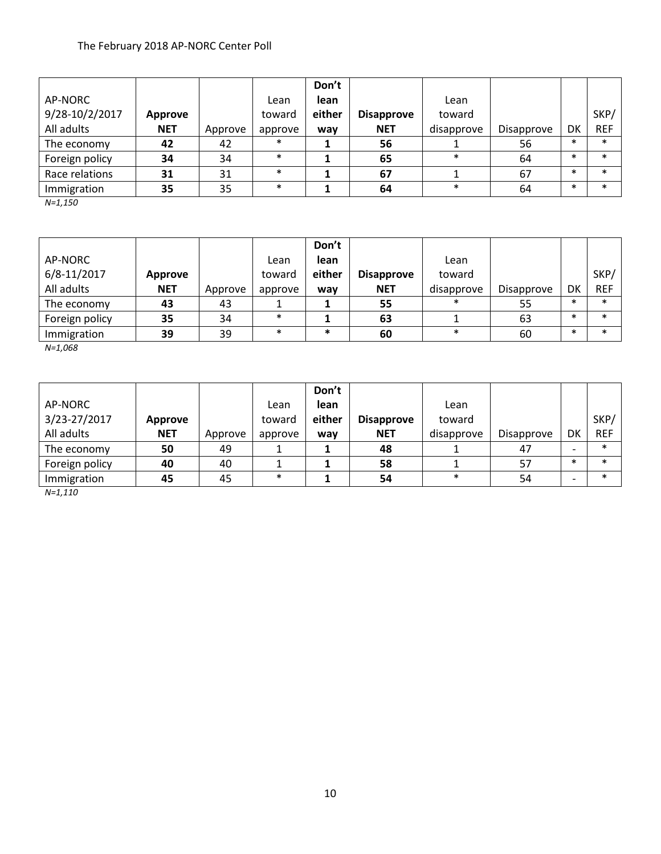|                |                |         |         | Don't  |                   |            |                   |        |            |
|----------------|----------------|---------|---------|--------|-------------------|------------|-------------------|--------|------------|
| AP-NORC        |                |         | Lean    | lean   |                   | Lean       |                   |        |            |
| 9/28-10/2/2017 | <b>Approve</b> |         | toward  | either | <b>Disapprove</b> | toward     |                   |        | SKP/       |
| All adults     | <b>NET</b>     | Approve | approve | way    | <b>NET</b>        | disapprove | <b>Disapprove</b> | DK     | <b>REF</b> |
| The economy    | 42             | 42      | $\ast$  |        | 56                |            | 56                | $\ast$ | $\ast$     |
| Foreign policy | 34             | 34      | $\ast$  |        | 65                | $\ast$     | 64                | $\ast$ | $\ast$     |
| Race relations | 31             | 31      | $\ast$  |        | 67                |            | 67                | $\ast$ | $\ast$     |
| Immigration    | 35             | 35      | $\ast$  |        | 64                | $\ast$     | 64                | $\ast$ | $\ast$     |

*N=1,150*

|                |            |         |         | Don't  |                   |            |            |        |            |
|----------------|------------|---------|---------|--------|-------------------|------------|------------|--------|------------|
| AP-NORC        |            |         | Lean    | lean   |                   | Lean       |            |        |            |
| 6/8-11/2017    | Approve    |         | toward  | either | <b>Disapprove</b> | toward     |            |        | SKP/       |
| All adults     | <b>NET</b> | Approve | approve | way    | <b>NET</b>        | disapprove | Disapprove | DK     | <b>REF</b> |
| The economy    | 43         | 43      |         |        | 55                | *          | 55         | $\ast$ | $\ast$     |
| Foreign policy | 35         | 34      | $\ast$  |        | 63                |            | 63         | $\ast$ | $\ast$     |
| Immigration    | 39         | 39      | $\ast$  | $\ast$ | 60                | $\ast$     | 60         | $\ast$ | $\ast$     |

*N=1,068*

|                |                |         |         | Don't  |                   |            |            |        |            |
|----------------|----------------|---------|---------|--------|-------------------|------------|------------|--------|------------|
| AP-NORC        |                |         | Lean    | lean   |                   | Lean       |            |        |            |
| 3/23-27/2017   | <b>Approve</b> |         | toward  | either | <b>Disapprove</b> | toward     |            |        | SKP/       |
| All adults     | <b>NET</b>     | Approve | approve | way    | <b>NET</b>        | disapprove | Disapprove | DK     | <b>REF</b> |
| The economy    | 50             | 49      |         |        | 48                |            | 47         |        | $\ast$     |
| Foreign policy | 40             | 40      |         |        | 58                |            | 57         | $\ast$ | $\ast$     |
| Immigration    | 45             | 45      | $\ast$  |        | 54                | $\ast$     | 54         |        | $\ast$     |

*N=1,110*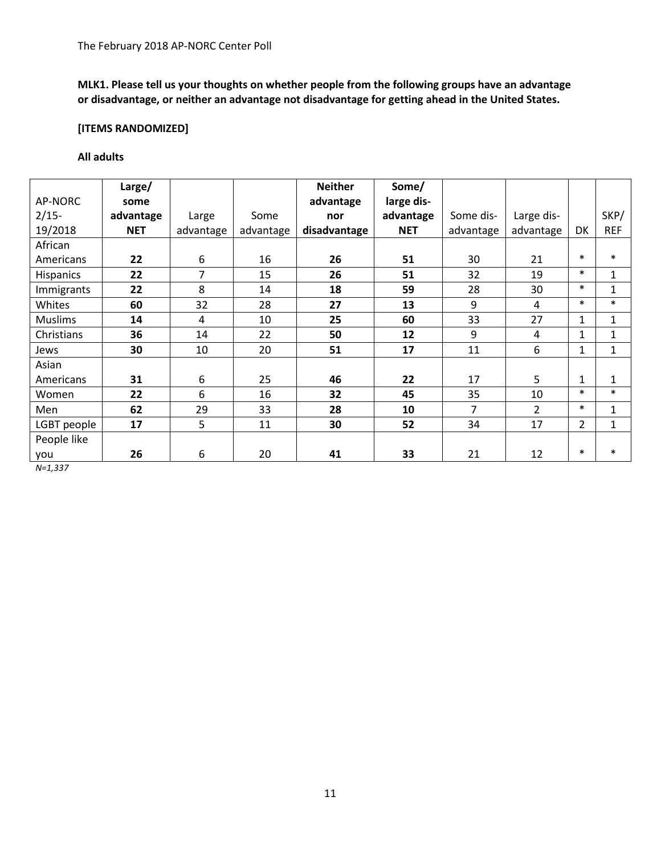**MLK1. Please tell us your thoughts on whether people from the following groups have an advantage or disadvantage, or neither an advantage not disadvantage for getting ahead in the United States.**

## **[ITEMS RANDOMIZED]**

## **All adults**

|                  | Large/     |           |           | <b>Neither</b> | Some/      |           |                |                |              |
|------------------|------------|-----------|-----------|----------------|------------|-----------|----------------|----------------|--------------|
| AP-NORC          | some       |           |           | advantage      | large dis- |           |                |                |              |
| $2/15-$          | advantage  | Large     | Some      | nor            | advantage  | Some dis- | Large dis-     |                | SKP/         |
| 19/2018          | <b>NET</b> | advantage | advantage | disadvantage   | <b>NET</b> | advantage | advantage      | DK             | <b>REF</b>   |
| African          |            |           |           |                |            |           |                |                |              |
| Americans        | 22         | 6         | 16        | 26             | 51         | 30        | 21             | $\ast$         | $\ast$       |
| <b>Hispanics</b> | 22         | 7         | 15        | 26             | 51         | 32        | 19             | $\ast$         | $\mathbf{1}$ |
| Immigrants       | 22         | 8         | 14        | 18             | 59         | 28        | 30             | $\ast$         | $\mathbf{1}$ |
| Whites           | 60         | 32        | 28        | 27             | 13         | 9         | 4              | $\ast$         | $\ast$       |
| <b>Muslims</b>   | 14         | 4         | 10        | 25             | 60         | 33        | 27             | 1              | $\mathbf{1}$ |
| Christians       | 36         | 14        | 22        | 50             | 12         | 9         | 4              | 1              | $\mathbf{1}$ |
| Jews             | 30         | 10        | 20        | 51             | 17         | 11        | 6              | 1              | $\mathbf{1}$ |
| Asian            |            |           |           |                |            |           |                |                |              |
| Americans        | 31         | 6         | 25        | 46             | 22         | 17        | 5              | 1              | 1            |
| Women            | 22         | 6         | 16        | 32             | 45         | 35        | 10             | $\ast$         | $\ast$       |
| Men              | 62         | 29        | 33        | 28             | 10         | 7         | $\overline{2}$ | $\ast$         | $\mathbf{1}$ |
| LGBT people      | 17         | 5         | 11        | 30             | 52         | 34        | 17             | $\overline{2}$ | 1            |
| People like      |            |           |           |                |            |           |                |                |              |
| you              | 26         | 6         | 20        | 41             | 33         | 21        | 12             | $\ast$         | $\ast$       |

*N=1,337*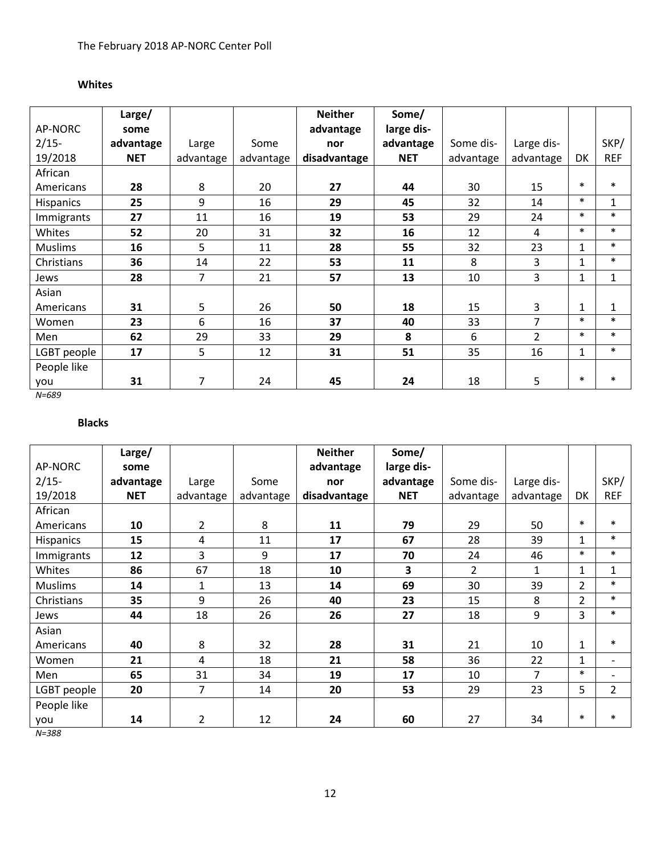## **Whites**

|                  | Large/     |           |           | <b>Neither</b> | Some/      |           |                |              |            |
|------------------|------------|-----------|-----------|----------------|------------|-----------|----------------|--------------|------------|
| AP-NORC          | some       |           |           | advantage      | large dis- |           |                |              |            |
| $2/15-$          | advantage  | Large     | Some      | nor            | advantage  | Some dis- | Large dis-     |              | SKP/       |
| 19/2018          | <b>NET</b> | advantage | advantage | disadvantage   | <b>NET</b> | advantage | advantage      | DK           | <b>REF</b> |
| African          |            |           |           |                |            |           |                |              |            |
| Americans        | 28         | 8         | 20        | 27             | 44         | 30        | 15             | $\ast$       | $\ast$     |
| <b>Hispanics</b> | 25         | 9         | 16        | 29             | 45         | 32        | 14             | $\ast$       | 1          |
| Immigrants       | 27         | 11        | 16        | 19             | 53         | 29        | 24             | $\ast$       | $\ast$     |
| Whites           | 52         | 20        | 31        | 32             | 16         | 12        | 4              | $\ast$       | $\ast$     |
| <b>Muslims</b>   | 16         | 5         | 11        | 28             | 55         | 32        | 23             | 1            | $\ast$     |
| Christians       | 36         | 14        | 22        | 53             | 11         | 8         | 3              | 1            | $\ast$     |
| Jews             | 28         | 7         | 21        | 57             | 13         | 10        | 3              | $\mathbf{1}$ | 1          |
| Asian            |            |           |           |                |            |           |                |              |            |
| Americans        | 31         | 5         | 26        | 50             | 18         | 15        | 3              | 1            | 1          |
| Women            | 23         | 6         | 16        | 37             | 40         | 33        | $\overline{7}$ | $\ast$       | $\ast$     |
| Men              | 62         | 29        | 33        | 29             | 8          | 6         | $\overline{2}$ | $\ast$       | $\ast$     |
| LGBT people      | 17         | 5         | 12        | 31             | 51         | 35        | 16             | 1            | $\ast$     |
| People like      |            |           |           |                |            |           |                |              |            |
| you              | 31         | 7         | 24        | 45             | 24         | 18        | 5              | $\ast$       | $\ast$     |

*N=689*

# **Blacks**

|                  | Large/     |                |           | <b>Neither</b> | Some/      |                |                |                |                          |
|------------------|------------|----------------|-----------|----------------|------------|----------------|----------------|----------------|--------------------------|
| AP-NORC          | some       |                |           | advantage      | large dis- |                |                |                |                          |
| $2/15-$          | advantage  | Large          | Some      | nor            | advantage  | Some dis-      | Large dis-     |                | SKP/                     |
| 19/2018          | <b>NET</b> | advantage      | advantage | disadvantage   | <b>NET</b> | advantage      | advantage      | DK             | <b>REF</b>               |
| African          |            |                |           |                |            |                |                |                |                          |
| Americans        | 10         | $\overline{2}$ | 8         | 11             | 79         | 29             | 50             | $\ast$         | $\ast$                   |
| <b>Hispanics</b> | 15         | 4              | 11        | 17             | 67         | 28             | 39             | 1              | $\ast$                   |
| Immigrants       | 12         | 3              | 9         | 17             | 70         | 24             | 46             | $\ast$         | $\ast$                   |
| Whites           | 86         | 67             | 18        | 10             | 3          | $\overline{2}$ | 1              | 1              | 1                        |
| <b>Muslims</b>   | 14         | $\mathbf{1}$   | 13        | 14             | 69         | 30             | 39             | $\overline{2}$ | $\ast$                   |
| Christians       | 35         | 9              | 26        | 40             | 23         | 15             | 8              | $\overline{2}$ | $\ast$                   |
| Jews             | 44         | 18             | 26        | 26             | 27         | 18             | 9              | 3              | $\ast$                   |
| Asian            |            |                |           |                |            |                |                |                |                          |
| Americans        | 40         | 8              | 32        | 28             | 31         | 21             | 10             | $\mathbf{1}$   | $\ast$                   |
| Women            | 21         | 4              | 18        | 21             | 58         | 36             | 22             | 1              | $\overline{\phantom{a}}$ |
| Men              | 65         | 31             | 34        | 19             | 17         | 10             | $\overline{7}$ | $\ast$         | $\overline{\phantom{0}}$ |
| LGBT people      | 20         | 7              | 14        | 20             | 53         | 29             | 23             | 5              | 2                        |
| People like      |            |                |           |                |            |                |                |                |                          |
| you              | 14         | 2              | 12        | 24             | 60         | 27             | 34             | $\ast$         | $\ast$                   |

*N=388*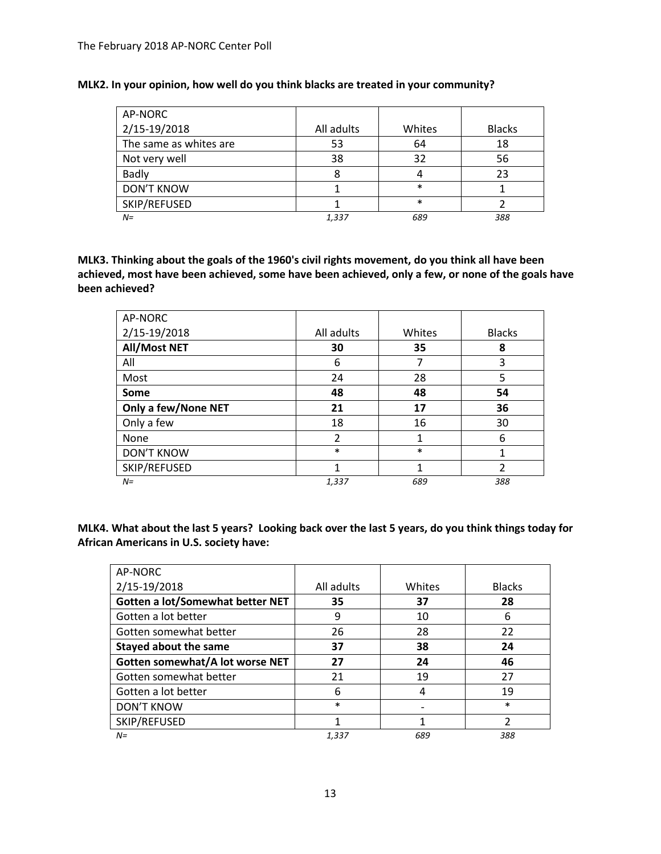| AP-NORC                |            |        |               |
|------------------------|------------|--------|---------------|
| 2/15-19/2018           | All adults | Whites | <b>Blacks</b> |
| The same as whites are | 53         | 64     | 18            |
| Not very well          | 38         | 32     | 56            |
| <b>Badly</b>           | 8          |        | 23            |
| <b>DON'T KNOW</b>      |            | $\ast$ |               |
| SKIP/REFUSED           |            | $\ast$ |               |
| $N =$                  | 1,337      | 689    | 388           |

## **MLK2. In your opinion, how well do you think blacks are treated in your community?**

**MLK3. Thinking about the goals of the 1960's civil rights movement, do you think all have been achieved, most have been achieved, some have been achieved, only a few, or none of the goals have been achieved?**

| AP-NORC             |                |        |               |
|---------------------|----------------|--------|---------------|
| 2/15-19/2018        | All adults     | Whites | <b>Blacks</b> |
| <b>All/Most NET</b> | 30             | 35     | 8             |
| All                 | 6              | 7      | 3             |
| Most                | 24             | 28     | 5             |
| Some                | 48             | 48     | 54            |
| Only a few/None NET | 21             | 17     | 36            |
| Only a few          | 18             | 16     | 30            |
| None                | $\overline{2}$ | 1      | 6             |
| <b>DON'T KNOW</b>   | $\ast$         | $\ast$ | 1             |
| SKIP/REFUSED        | 1              | 1      | $\mathfrak z$ |
| $N=$                | 1,337          | 689    | 388           |

**MLK4. What about the last 5 years? Looking back over the last 5 years, do you think things today for African Americans in U.S. society have:**

| AP-NORC                          |            |        |               |
|----------------------------------|------------|--------|---------------|
| 2/15-19/2018                     | All adults | Whites | <b>Blacks</b> |
| Gotten a lot/Somewhat better NET | 35         | 37     | 28            |
| Gotten a lot better              | 9          | 10     | 6             |
| Gotten somewhat better           | 26         | 28     | 22            |
| <b>Stayed about the same</b>     | 37         | 38     | 24            |
| Gotten somewhat/A lot worse NET  | 27         | 24     | 46            |
| Gotten somewhat better           | 21         | 19     | 27            |
| Gotten a lot better              | 6          | 4      | 19            |
| <b>DON'T KNOW</b>                | $\ast$     |        | $\ast$        |
| SKIP/REFUSED                     | 1          |        | 2             |
| $N =$                            | 1,337      | 689    | 388           |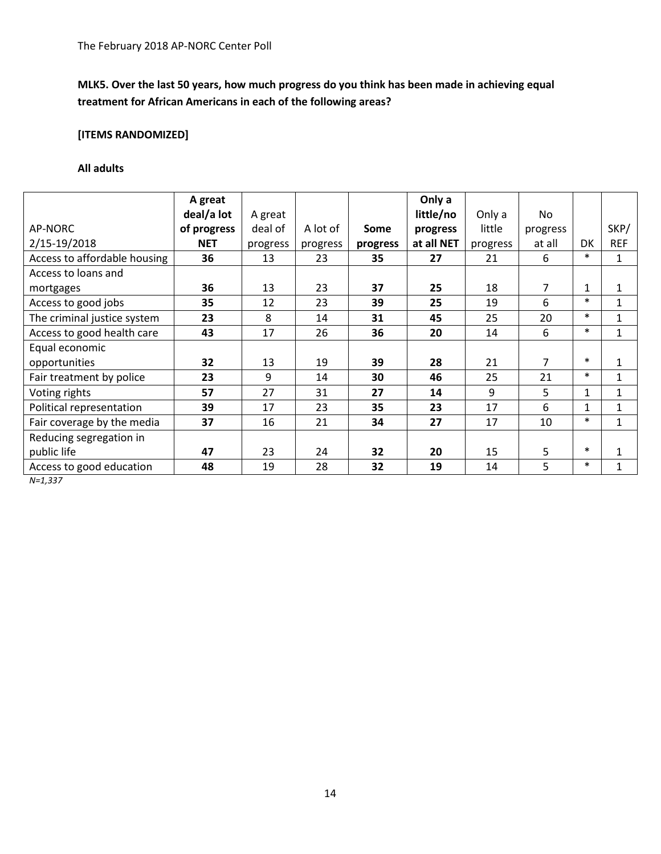# **MLK5. Over the last 50 years, how much progress do you think has been made in achieving equal treatment for African Americans in each of the following areas?**

# **[ITEMS RANDOMIZED]**

### **All adults**

|                              | A great     |          |          |          | Only a     |          |          |              |              |
|------------------------------|-------------|----------|----------|----------|------------|----------|----------|--------------|--------------|
|                              | deal/a lot  | A great  |          |          | little/no  | Only a   | No.      |              |              |
| AP-NORC                      | of progress | deal of  | A lot of | Some     | progress   | little   | progress |              | SKP/         |
| 2/15-19/2018                 | <b>NET</b>  | progress | progress | progress | at all NET | progress | at all   | <b>DK</b>    | <b>REF</b>   |
| Access to affordable housing | 36          | 13       | 23       | 35       | 27         | 21       | 6        | $\ast$       | $\mathbf{1}$ |
| Access to loans and          |             |          |          |          |            |          |          |              |              |
| mortgages                    | 36          | 13       | 23       | 37       | 25         | 18       | 7        | $\mathbf{1}$ | 1            |
| Access to good jobs          | 35          | 12       | 23       | 39       | 25         | 19       | 6        | $\ast$       | $\mathbf{1}$ |
| The criminal justice system  | 23          | 8        | 14       | 31       | 45         | 25       | 20       | $\ast$       | $\mathbf{1}$ |
| Access to good health care   | 43          | 17       | 26       | 36       | 20         | 14       | 6        | $\ast$       | $\mathbf{1}$ |
| Equal economic               |             |          |          |          |            |          |          |              |              |
| opportunities                | 32          | 13       | 19       | 39       | 28         | 21       | 7        | $\ast$       | $\mathbf{1}$ |
| Fair treatment by police     | 23          | 9        | 14       | 30       | 46         | 25       | 21       | $\ast$       | $\mathbf{1}$ |
| Voting rights                | 57          | 27       | 31       | 27       | 14         | 9        | 5        | 1            | 1            |
| Political representation     | 39          | 17       | 23       | 35       | 23         | 17       | 6        | 1            | 1            |
| Fair coverage by the media   | 37          | 16       | 21       | 34       | 27         | 17       | 10       | $\ast$       | 1            |
| Reducing segregation in      |             |          |          |          |            |          |          |              |              |
| public life                  | 47          | 23       | 24       | 32       | 20         | 15       | 5        | $\ast$       | $\mathbf{1}$ |
| Access to good education     | 48          | 19       | 28       | 32       | 19         | 14       | 5        | $\ast$       | $\mathbf{1}$ |

*N=1,337*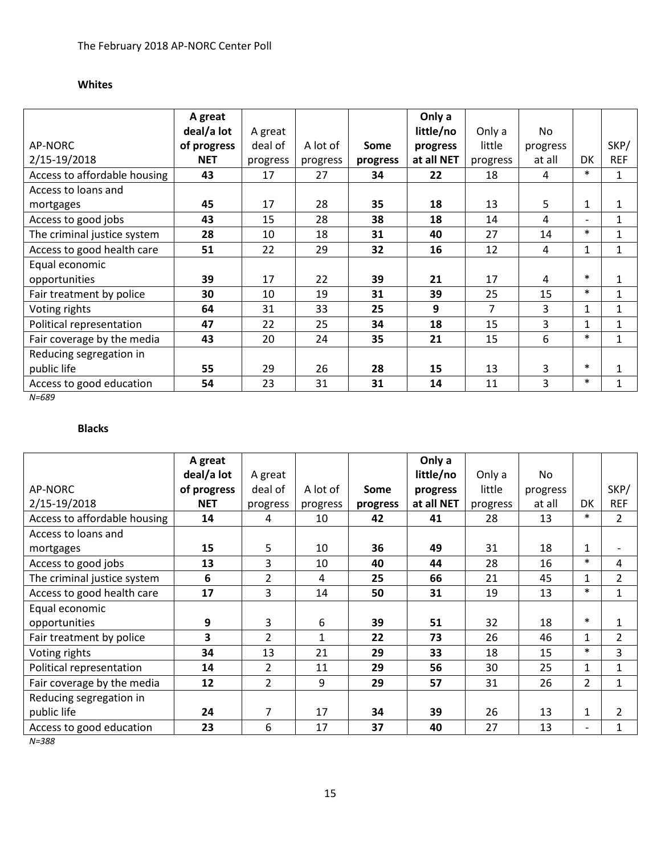# **Whites**

|                              | A great     |          |          |          | Only a     |          |          |                          |              |
|------------------------------|-------------|----------|----------|----------|------------|----------|----------|--------------------------|--------------|
|                              | deal/a lot  | A great  |          |          | little/no  | Only a   | No       |                          |              |
| AP-NORC                      | of progress | deal of  | A lot of | Some     | progress   | little   | progress |                          | SKP/         |
| 2/15-19/2018                 | <b>NET</b>  | progress | progress | progress | at all NET | progress | at all   | DK                       | <b>REF</b>   |
| Access to affordable housing | 43          | 17       | 27       | 34       | 22         | 18       | 4        | $\ast$                   | $\mathbf{1}$ |
| Access to loans and          |             |          |          |          |            |          |          |                          |              |
| mortgages                    | 45          | 17       | 28       | 35       | 18         | 13       | 5        | 1                        | 1            |
| Access to good jobs          | 43          | 15       | 28       | 38       | 18         | 14       | 4        | $\overline{\phantom{a}}$ | 1            |
| The criminal justice system  | 28          | 10       | 18       | 31       | 40         | 27       | 14       | $\ast$                   | $\mathbf{1}$ |
| Access to good health care   | 51          | 22       | 29       | 32       | 16         | 12       | 4        | $\mathbf{1}$             | $\mathbf{1}$ |
| Equal economic               |             |          |          |          |            |          |          |                          |              |
| opportunities                | 39          | 17       | 22       | 39       | 21         | 17       | 4        | $\ast$                   | $\mathbf{1}$ |
| Fair treatment by police     | 30          | 10       | 19       | 31       | 39         | 25       | 15       | $\ast$                   | $\mathbf{1}$ |
| Voting rights                | 64          | 31       | 33       | 25       | 9          | 7        | 3        | $\mathbf{1}$             | $\mathbf{1}$ |
| Political representation     | 47          | 22       | 25       | 34       | 18         | 15       | 3        | 1                        | $\mathbf{1}$ |
| Fair coverage by the media   | 43          | 20       | 24       | 35       | 21         | 15       | 6        | $\ast$                   | $\mathbf{1}$ |
| Reducing segregation in      |             |          |          |          |            |          |          |                          |              |
| public life                  | 55          | 29       | 26       | 28       | 15         | 13       | 3        | $\ast$                   | $\mathbf{1}$ |
| Access to good education     | 54          | 23       | 31       | 31       | 14         | 11       | 3        | $\ast$                   | $\mathbf{1}$ |

*N=689*

# **Blacks**

|                              | A great     |                |          |          | Only a     |          |          |                          |                |
|------------------------------|-------------|----------------|----------|----------|------------|----------|----------|--------------------------|----------------|
|                              | deal/a lot  | A great        |          |          | little/no  | Only a   | No       |                          |                |
| AP-NORC                      | of progress | deal of        | A lot of | Some     | progress   | little   | progress |                          | SKP/           |
| 2/15-19/2018                 | <b>NET</b>  | progress       | progress | progress | at all NET | progress | at all   | DK                       | <b>REF</b>     |
| Access to affordable housing | 14          | 4              | 10       | 42       | 41         | 28       | 13       | $\ast$                   | $\overline{2}$ |
| Access to loans and          |             |                |          |          |            |          |          |                          |                |
| mortgages                    | 15          | 5              | 10       | 36       | 49         | 31       | 18       | $\mathbf{1}$             |                |
| Access to good jobs          | 13          | 3              | 10       | 40       | 44         | 28       | 16       | $\ast$                   | 4              |
| The criminal justice system  | 6           | $\overline{2}$ | 4        | 25       | 66         | 21       | 45       | 1                        | $\overline{2}$ |
| Access to good health care   | 17          | 3              | 14       | 50       | 31         | 19       | 13       | $\ast$                   | $\mathbf{1}$   |
| Equal economic               |             |                |          |          |            |          |          |                          |                |
| opportunities                | 9           | 3              | 6        | 39       | 51         | 32       | 18       | $\ast$                   | 1              |
| Fair treatment by police     | 3           | $\overline{2}$ | 1        | 22       | 73         | 26       | 46       | 1                        | $\overline{2}$ |
| Voting rights                | 34          | 13             | 21       | 29       | 33         | 18       | 15       | $\ast$                   | 3              |
| Political representation     | 14          | $\overline{2}$ | 11       | 29       | 56         | 30       | 25       | 1                        | 1              |
| Fair coverage by the media   | 12          | $\overline{2}$ | 9        | 29       | 57         | 31       | 26       | $\overline{2}$           | $\mathbf{1}$   |
| Reducing segregation in      |             |                |          |          |            |          |          |                          |                |
| public life                  | 24          | 7              | 17       | 34       | 39         | 26       | 13       | $\mathbf{1}$             | $\overline{2}$ |
| Access to good education     | 23          | 6              | 17       | 37       | 40         | 27       | 13       | $\overline{\phantom{0}}$ | $\mathbf{1}$   |

*N=388*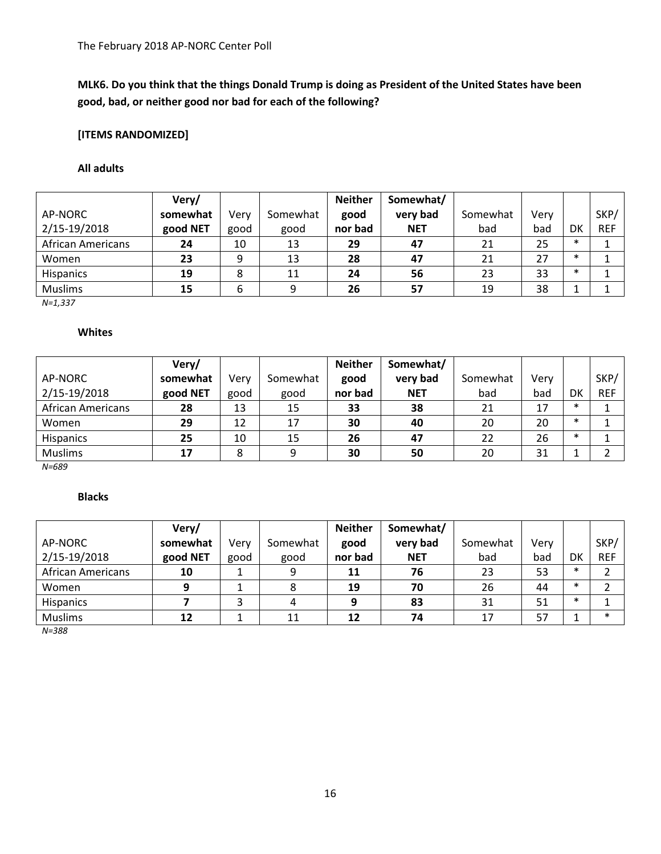# **MLK6. Do you think that the things Donald Trump is doing as President of the United States have been good, bad, or neither good nor bad for each of the following?**

# **[ITEMS RANDOMIZED]**

#### **All adults**

|                          | Very/    |      |          | <b>Neither</b> | Somewhat/  |          |      |        |            |
|--------------------------|----------|------|----------|----------------|------------|----------|------|--------|------------|
| AP-NORC                  | somewhat | Verv | Somewhat | good           | very bad   | Somewhat | Verv |        | SKP/       |
| 2/15-19/2018             | good NET | good | good     | nor bad        | <b>NET</b> | bad      | bad  | DK     | <b>REF</b> |
| <b>African Americans</b> | 24       | 10   | 13       | 29             | 47         | 21       | 25   | $\ast$ |            |
| Women                    | 23       | q    | 13       | 28             | 47         | 21       | 27   | $\ast$ |            |
| <b>Hispanics</b>         | 19       | 8    | 11       | 24             | 56         | 23       | 33   | $\ast$ |            |
| <b>Muslims</b>           | 15       | 6    | 9        | 26             | 57         | 19       | 38   |        |            |

*N=1,337*

## **Whites**

|                   | Very/    |      |          | <b>Neither</b> | Somewhat/  |          |      |        |            |
|-------------------|----------|------|----------|----------------|------------|----------|------|--------|------------|
| AP-NORC           | somewhat | Verv | Somewhat | good           | very bad   | Somewhat | Verv |        | SKP/       |
| 2/15-19/2018      | good NET | good | good     | nor bad        | <b>NET</b> | bad      | bad  | DK     | <b>REF</b> |
| African Americans | 28       | 13   | 15       | 33             | 38         | 21       | 17   | $\ast$ |            |
| Women             | 29       | 12   | 17       | 30             | 40         | 20       | 20   | $\ast$ |            |
| <b>Hispanics</b>  | 25       | 10   | 15       | 26             | 47         | 22       | 26   | $\ast$ |            |
| <b>Muslims</b>    | 17       |      | 9        | 30             | 50         | 20       | 31   |        |            |

*N=689*

## **Blacks**

|                          | Very/    |      |          | <b>Neither</b> | Somewhat/  |          |      |        |            |
|--------------------------|----------|------|----------|----------------|------------|----------|------|--------|------------|
| AP-NORC                  | somewhat | Verv | Somewhat | good           | very bad   | Somewhat | Verv |        | SKP/       |
| 2/15-19/2018             | good NET | good | good     | nor bad        | <b>NET</b> | bad      | bad  | DK     | <b>REF</b> |
| <b>African Americans</b> | 10       |      | 9        | 11             | 76         | 23       | 53   | $\ast$ |            |
| Women                    |          |      |          | 19             | 70         | 26       | 44   | $\ast$ |            |
| <b>Hispanics</b>         |          |      | 4        | 9              | 83         | 31       | 51   | $\ast$ |            |
| <b>Muslims</b>           | 12       |      | 11       | 12             | 74         | 17       | 57   |        | $\ast$     |

*N=388*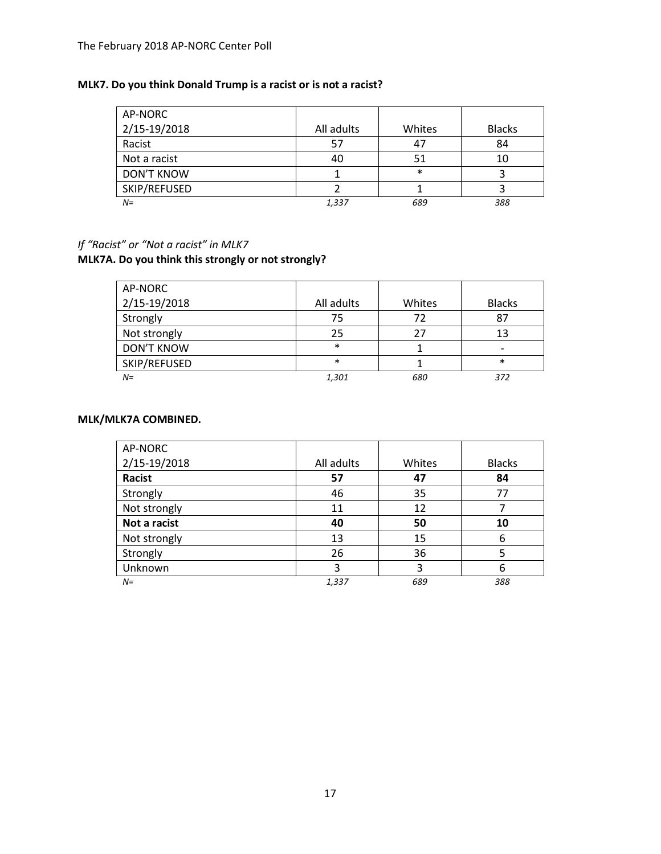#### The February 2018 AP-NORC Center Poll

# **MLK7. Do you think Donald Trump is a racist or is not a racist?**

| AP-NORC           |            |        |               |
|-------------------|------------|--------|---------------|
| 2/15-19/2018      | All adults | Whites | <b>Blacks</b> |
| Racist            | 57         | 47     | 84            |
| Not a racist      | 40         |        |               |
| <b>DON'T KNOW</b> |            | $\ast$ |               |
| SKIP/REFUSED      |            |        |               |
| $N =$             | 1,337      | 689    | 388           |

# *If "Racist" or "Not a racist" in MLK7*

# **MLK7A. Do you think this strongly or not strongly?**

| AP-NORC           |            |        |               |
|-------------------|------------|--------|---------------|
| 2/15-19/2018      | All adults | Whites | <b>Blacks</b> |
| Strongly          | 75         | 72     | 87            |
| Not strongly      | 25         | 27     | 13            |
| <b>DON'T KNOW</b> | $\ast$     |        |               |
| SKIP/REFUSED      | $\ast$     |        | $\ast$        |
| $N =$             | 1,301      | 680    | 372           |

#### **MLK/MLK7A COMBINED.**

| AP-NORC      |            |        |               |
|--------------|------------|--------|---------------|
| 2/15-19/2018 | All adults | Whites | <b>Blacks</b> |
| Racist       | 57         | 47     | 84            |
| Strongly     | 46         | 35     | 77            |
| Not strongly | 11         | 12     |               |
| Not a racist | 40         | 50     | 10            |
| Not strongly | 13         | 15     | 6             |
| Strongly     | 26         | 36     | 5             |
| Unknown      | 3          | 3      | 6             |
| $N =$        | 1,337      | 689    | 388           |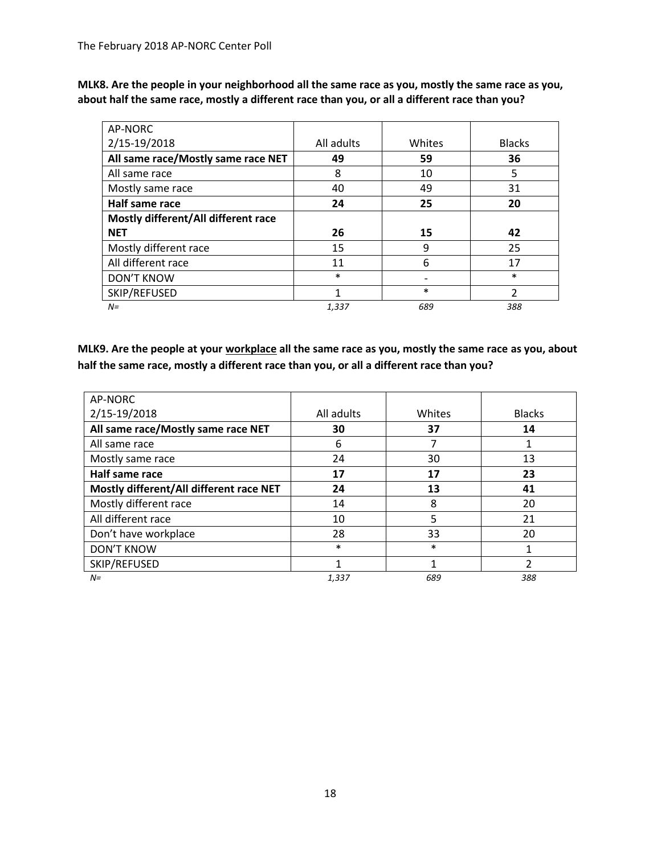**MLK8. Are the people in your neighborhood all the same race as you, mostly the same race as you, about half the same race, mostly a different race than you, or all a different race than you?**

| AP-NORC                             |            |        |               |
|-------------------------------------|------------|--------|---------------|
| 2/15-19/2018                        | All adults | Whites | <b>Blacks</b> |
| All same race/Mostly same race NET  | 49         | 59     | 36            |
| All same race                       | 8          | 10     | 5             |
| Mostly same race                    | 40         | 49     | 31            |
| Half same race                      | 24         | 25     | 20            |
| Mostly different/All different race |            |        |               |
| <b>NET</b>                          | 26         | 15     | 42            |
| Mostly different race               | 15         | 9      | 25            |
| All different race                  | 11         | 6      | 17            |
| <b>DON'T KNOW</b>                   | $\ast$     |        | $\ast$        |
| SKIP/REFUSED                        | 1          | $\ast$ | 2             |
| $N =$                               | 1,337      | 689    | 388           |

**MLK9. Are the people at your workplace all the same race as you, mostly the same race as you, about half the same race, mostly a different race than you, or all a different race than you?**

| AP-NORC                                 |            |        |               |
|-----------------------------------------|------------|--------|---------------|
| 2/15-19/2018                            | All adults | Whites | <b>Blacks</b> |
| All same race/Mostly same race NET      | 30         | 37     | 14            |
| All same race                           | 6          |        |               |
| Mostly same race                        | 24         | 30     | 13            |
| Half same race                          | 17         | 17     | 23            |
| Mostly different/All different race NET | 24         | 13     | 41            |
| Mostly different race                   | 14         | 8      | 20            |
| All different race                      | 10         | 5      | 21            |
| Don't have workplace                    | 28         | 33     | 20            |
| <b>DON'T KNOW</b>                       | $\ast$     | $\ast$ |               |
| SKIP/REFUSED                            | 1          |        | っ             |
| $N =$                                   | 1,337      | 689    | 388           |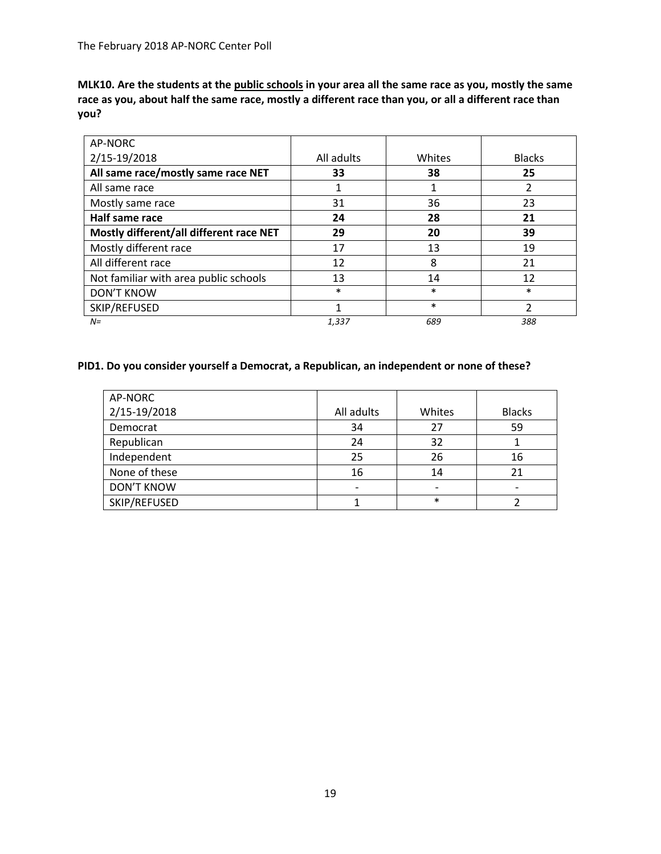**MLK10. Are the students at the public schools in your area all the same race as you, mostly the same race as you, about half the same race, mostly a different race than you, or all a different race than you?**

| AP-NORC                                 |            |        |               |
|-----------------------------------------|------------|--------|---------------|
| 2/15-19/2018                            | All adults | Whites | <b>Blacks</b> |
| All same race/mostly same race NET      | 33         | 38     | 25            |
| All same race                           |            |        | 2             |
| Mostly same race                        | 31         | 36     | 23            |
| Half same race                          | 24         | 28     | 21            |
| Mostly different/all different race NET | 29         | 20     | 39            |
| Mostly different race                   | 17         | 13     | 19            |
| All different race                      | 12         | 8      | 21            |
| Not familiar with area public schools   | 13         | 14     | 12            |
| <b>DON'T KNOW</b>                       | $\ast$     | $\ast$ | $\ast$        |
| SKIP/REFUSED                            | 1          | $\ast$ | 2             |
| $N =$                                   | 1,337      | 689    | 388           |

#### **PID1. Do you consider yourself a Democrat, a Republican, an independent or none of these?**

| AP-NORC           |            |        |               |
|-------------------|------------|--------|---------------|
| 2/15-19/2018      | All adults | Whites | <b>Blacks</b> |
| Democrat          | 34         | 27     | 59            |
| Republican        | 24         | 32     |               |
| Independent       | 25         | 26     | 16            |
| None of these     | 16         | 14     | 21            |
| <b>DON'T KNOW</b> |            |        |               |
| SKIP/REFUSED      |            | $\ast$ |               |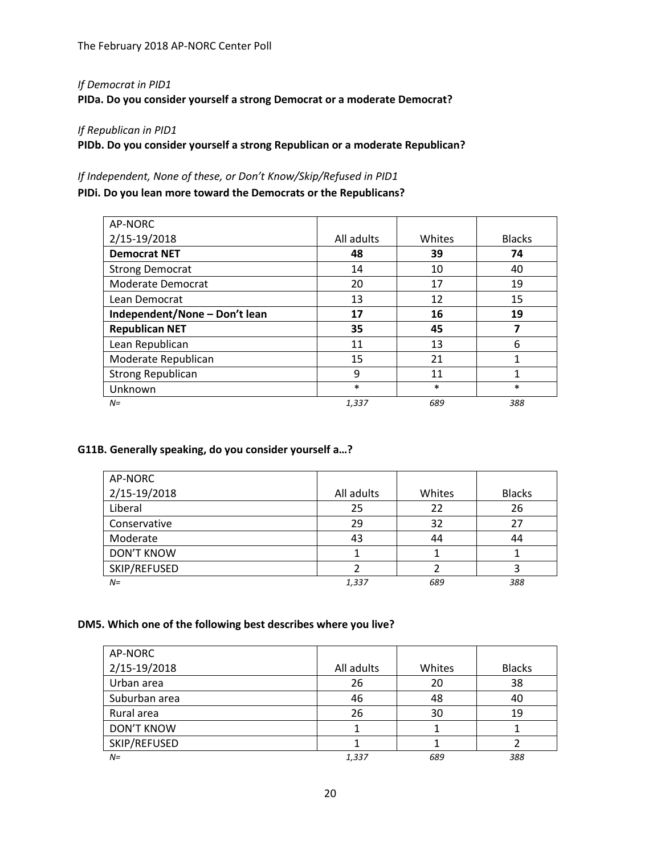## *If Democrat in PID1*

**PIDa. Do you consider yourself a strong Democrat or a moderate Democrat?**

# *If Republican in PID1*

**PIDb. Do you consider yourself a strong Republican or a moderate Republican?**

## *If Independent, None of these, or Don't Know/Skip/Refused in PID1*

**PIDi. Do you lean more toward the Democrats or the Republicans?**

| AP-NORC                       |            |        |               |
|-------------------------------|------------|--------|---------------|
| 2/15-19/2018                  | All adults | Whites | <b>Blacks</b> |
| <b>Democrat NET</b>           | 48         | 39     | 74            |
| <b>Strong Democrat</b>        | 14         | 10     | 40            |
| Moderate Democrat             | 20         | 17     | 19            |
| Lean Democrat                 | 13         | 12     | 15            |
| Independent/None - Don't lean | 17         | 16     | 19            |
| <b>Republican NET</b>         | 35         | 45     | 7             |
| Lean Republican               | 11         | 13     | 6             |
| Moderate Republican           | 15         | 21     | 1             |
| <b>Strong Republican</b>      | 9          | 11     | 1             |
| Unknown                       | $\ast$     | $\ast$ | $\ast$        |
| $N =$                         | 1,337      | 689    | 388           |

## **G11B. Generally speaking, do you consider yourself a…?**

| AP-NORC           |            |        |               |
|-------------------|------------|--------|---------------|
| 2/15-19/2018      | All adults | Whites | <b>Blacks</b> |
| Liberal           | 25         | 22     | 26            |
| Conservative      | 29         | 32     | 27            |
| Moderate          | 43         | 44     | 44            |
| <b>DON'T KNOW</b> |            |        |               |
| SKIP/REFUSED      |            |        |               |
| $N =$             | 1,337      | 689    | 388           |

## **DM5. Which one of the following best describes where you live?**

| AP-NORC           |            |        |               |
|-------------------|------------|--------|---------------|
| 2/15-19/2018      | All adults | Whites | <b>Blacks</b> |
| Urban area        | 26         | 20     | 38            |
| Suburban area     | 46         | 48     | 40            |
| Rural area        | 26         | 30     | 19            |
| <b>DON'T KNOW</b> |            |        |               |
| SKIP/REFUSED      |            |        |               |
| $N =$             | 1,337      | 689    | 388           |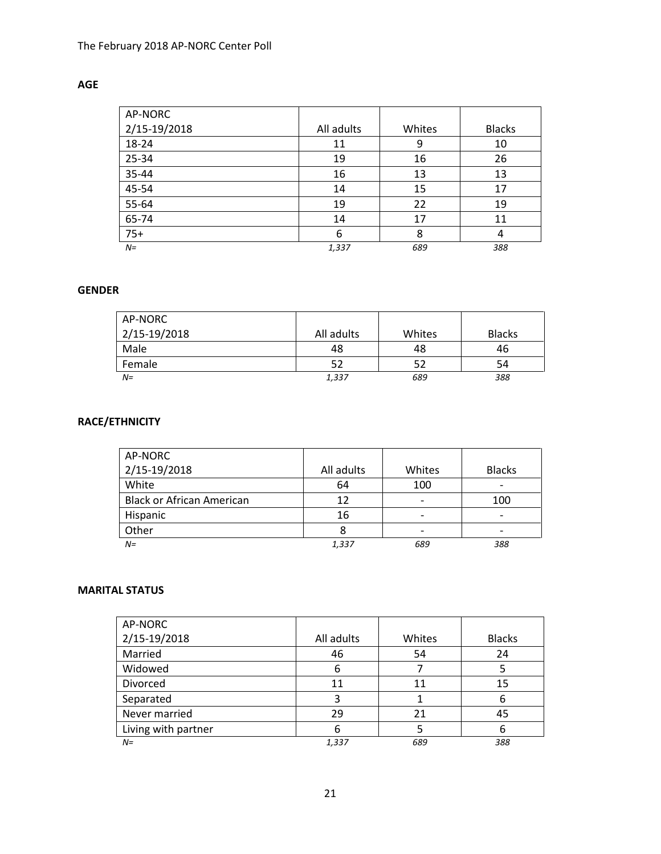# **AGE**

| AP-NORC      |            |        |               |
|--------------|------------|--------|---------------|
| 2/15-19/2018 | All adults | Whites | <b>Blacks</b> |
| 18-24        | 11         | 9      | 10            |
| 25-34        | 19         | 16     | 26            |
| 35-44        | 16         | 13     | 13            |
| 45-54        | 14         | 15     | 17            |
| 55-64        | 19         | 22     | 19            |
| 65-74        | 14         | 17     | 11            |
| $75+$        | 6          | 8      | 4             |
| $N =$        | 1,337      | 689    | 388           |

## **GENDER**

| AP-NORC<br>2/15-19/2018 | All adults | Whites | <b>Blacks</b> |
|-------------------------|------------|--------|---------------|
| Male                    | 48         | 48     | 46            |
| Female                  | 52         | 52     | 54            |
| $N =$                   | 1,337      | 689    | 388           |

# **RACE/ETHNICITY**

| AP-NORC                          |            |                              |                          |
|----------------------------------|------------|------------------------------|--------------------------|
| 2/15-19/2018                     | All adults | Whites                       | <b>Blacks</b>            |
| White                            | 64         | 100                          | -                        |
| <b>Black or African American</b> | 12         | $\qquad \qquad \blacksquare$ | 100                      |
| Hispanic                         | 16         | $\overline{\phantom{0}}$     | $\overline{\phantom{0}}$ |
| Other                            |            |                              |                          |
| $N =$                            | 1,337      | 689                          | 388                      |

## **MARITAL STATUS**

| AP-NORC             |            |        |               |
|---------------------|------------|--------|---------------|
| 2/15-19/2018        | All adults | Whites | <b>Blacks</b> |
| Married             | 46         | 54     | 24            |
| Widowed             | 6          |        |               |
| Divorced            | 11         | 11     | 15            |
| Separated           | 3          |        |               |
| Never married       | 29         | 21     | 45            |
| Living with partner | 6          |        |               |
| $N =$               | 1,337      | 689    | 388           |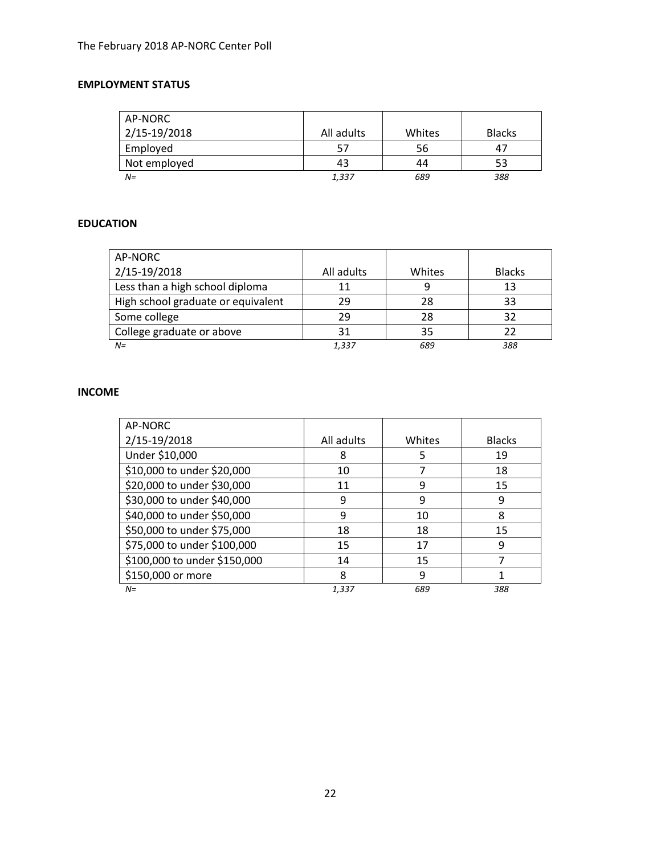# **EMPLOYMENT STATUS**

| AP-NORC      |            |        |               |
|--------------|------------|--------|---------------|
| 2/15-19/2018 | All adults | Whites | <b>Blacks</b> |
| Employed     |            | 56     | 47            |
| Not employed | 43         | 44     | 53            |
| $N =$        | 1,337      | 689    | 388           |

## **EDUCATION**

| AP-NORC                            |            |        |               |
|------------------------------------|------------|--------|---------------|
| 2/15-19/2018                       | All adults | Whites | <b>Blacks</b> |
| Less than a high school diploma    | 11         | 9      | 13            |
| High school graduate or equivalent | 29         | 28     | 33            |
| Some college                       | 29         | 28     | 32            |
| College graduate or above          | 31         | 35     | 22            |
| $N =$                              | 1,337      | 689    | 388           |

# **INCOME**

| AP-NORC                      |            |        |               |
|------------------------------|------------|--------|---------------|
| 2/15-19/2018                 | All adults | Whites | <b>Blacks</b> |
| Under \$10,000               | 8          | 5      | 19            |
| \$10,000 to under \$20,000   | 10         |        | 18            |
| \$20,000 to under \$30,000   | 11         | 9      | 15            |
| \$30,000 to under \$40,000   | 9          | 9      | 9             |
| \$40,000 to under \$50,000   | 9          | 10     | 8             |
| \$50,000 to under \$75,000   | 18         | 18     | 15            |
| \$75,000 to under \$100,000  | 15         | 17     | 9             |
| \$100,000 to under \$150,000 | 14         | 15     |               |
| \$150,000 or more            | 8          | 9      |               |
| $N =$                        | 1.337      | 689    | 388           |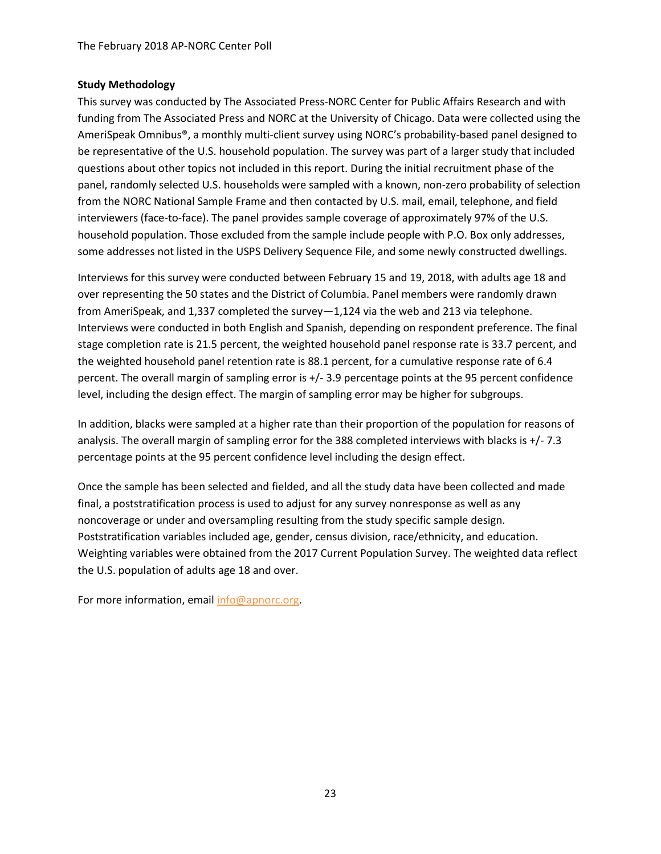#### **Study Methodology**

This survey was conducted by The Associated Press-NORC Center for Public Affairs Research and with funding from The Associated Press and NORC at the University of Chicago. Data were collected using the AmeriSpeak Omnibus®, a monthly multi-client survey using NORC's probability-based panel designed to be representative of the U.S. household population. The survey was part of a larger study that included questions about other topics not included in this report. During the initial recruitment phase of the panel, randomly selected U.S. households were sampled with a known, non-zero probability of selection from the NORC National Sample Frame and then contacted by U.S. mail, email, telephone, and field interviewers (face-to-face). The panel provides sample coverage of approximately 97% of the U.S. household population. Those excluded from the sample include people with P.O. Box only addresses, some addresses not listed in the USPS Delivery Sequence File, and some newly constructed dwellings.

Interviews for this survey were conducted between February 15 and 19, 2018, with adults age 18 and over representing the 50 states and the District of Columbia. Panel members were randomly drawn from AmeriSpeak, and 1,337 completed the survey—1,124 via the web and 213 via telephone. Interviews were conducted in both English and Spanish, depending on respondent preference. The final stage completion rate is 21.5 percent, the weighted household panel response rate is 33.7 percent, and the weighted household panel retention rate is 88.1 percent, for a cumulative response rate of 6.4 percent. The overall margin of sampling error is +/- 3.9 percentage points at the 95 percent confidence level, including the design effect. The margin of sampling error may be higher for subgroups.

In addition, blacks were sampled at a higher rate than their proportion of the population for reasons of analysis. The overall margin of sampling error for the 388 completed interviews with blacks is +/- 7.3 percentage points at the 95 percent confidence level including the design effect.

Once the sample has been selected and fielded, and all the study data have been collected and made final, a poststratification process is used to adjust for any survey nonresponse as well as any noncoverage or under and oversampling resulting from the study specific sample design. Poststratification variables included age, gender, census division, race/ethnicity, and education. Weighting variables were obtained from the 2017 Current Population Survey. The weighted data reflect the U.S. population of adults age 18 and over.

For more information, email [info@apnorc.org.](mailto:info@apnorc.org)